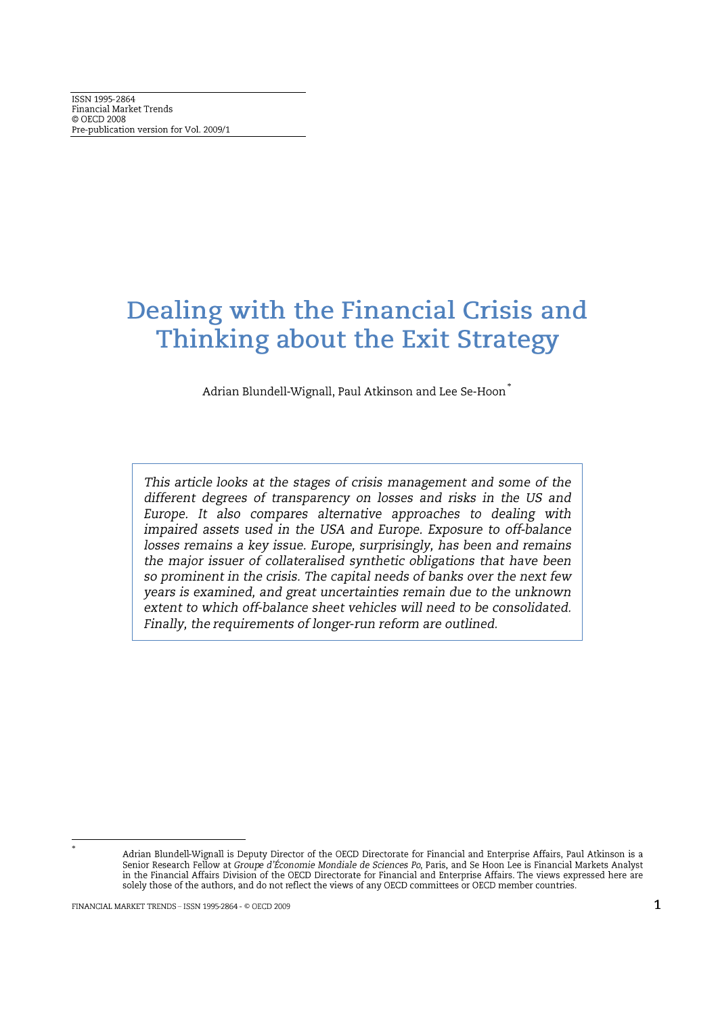# Dealing with the Financial Crisis and Thinking about the Exit Strategy

Adrian Blundell-Wignall, Paul Atkinson and Lee Se-Hoon<sup>®</sup>

This article looks at the stages of crisis management and some of the different degrees of transparency on losses and risks in the US and Europe. It also compares alternative approaches to dealing with impaired assets used in the USA and Europe. Exposure to off-balance losses remains a key issue. Europe, surprisingly, has been and remains the major issuer of collateralised synthetic obligations that have been so prominent in the crisis. The capital needs of banks over the next few years is examined, and great uncertainties remain due to the unknown extent to which off-balance sheet vehicles will need to be consolidated. Finally, the requirements of longer-run reform are outlined.

Adrian Blundell-Wignall is Deputy Director of the OECD Directorate for Financial and Enterprise Affairs, Paul Atkinson is a Senior Research Fellow at Groupe d'Économie Mondiale de Sciences Po, Paris, and Se Hoon Lee is Financial Markets Analyst<br>in the Financial Affairs Division of the OECD Directorate for Financial and Enterprise Affairs. The v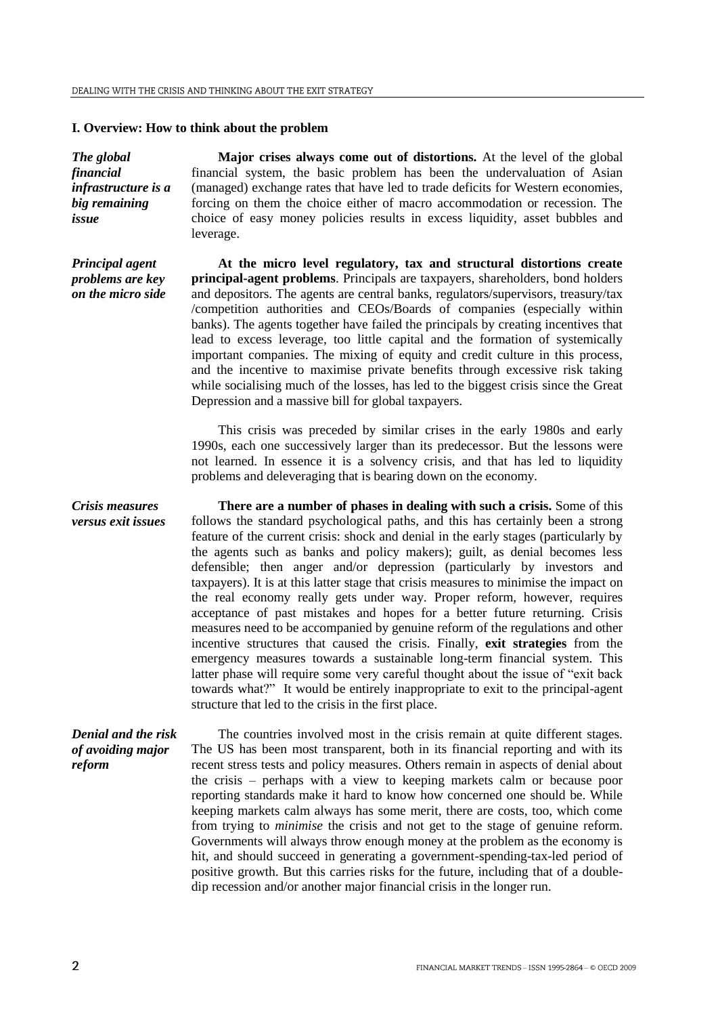#### **I. Overview: How to think about the problem**

*The global financial infrastructure is a big remaining issue*

*Principal agent problems are key on the micro side*

**Major crises always come out of distortions.** At the level of the global financial system, the basic problem has been the undervaluation of Asian (managed) exchange rates that have led to trade deficits for Western economies, forcing on them the choice either of macro accommodation or recession. The choice of easy money policies results in excess liquidity, asset bubbles and leverage.

**At the micro level regulatory, tax and structural distortions create principal-agent problems**. Principals are taxpayers, shareholders, bond holders and depositors. The agents are central banks, regulators/supervisors, treasury/tax /competition authorities and CEOs/Boards of companies (especially within banks). The agents together have failed the principals by creating incentives that lead to excess leverage, too little capital and the formation of systemically important companies. The mixing of equity and credit culture in this process, and the incentive to maximise private benefits through excessive risk taking while socialising much of the losses, has led to the biggest crisis since the Great Depression and a massive bill for global taxpayers.

This crisis was preceded by similar crises in the early 1980s and early 1990s, each one successively larger than its predecessor. But the lessons were not learned. In essence it is a solvency crisis, and that has led to liquidity problems and deleveraging that is bearing down on the economy.

*Crisis measures versus exit issues* **There are a number of phases in dealing with such a crisis.** Some of this follows the standard psychological paths, and this has certainly been a strong feature of the current crisis: shock and denial in the early stages (particularly by the agents such as banks and policy makers); guilt, as denial becomes less defensible; then anger and/or depression (particularly by investors and taxpayers). It is at this latter stage that crisis measures to minimise the impact on the real economy really gets under way. Proper reform, however, requires acceptance of past mistakes and hopes for a better future returning. Crisis measures need to be accompanied by genuine reform of the regulations and other incentive structures that caused the crisis. Finally, **exit strategies** from the emergency measures towards a sustainable long-term financial system. This latter phase will require some very careful thought about the issue of "exit back towards what?" It would be entirely inappropriate to exit to the principal-agent structure that led to the crisis in the first place.

*Denial and the risk of avoiding major reform* The countries involved most in the crisis remain at quite different stages. The US has been most transparent, both in its financial reporting and with its recent stress tests and policy measures. Others remain in aspects of denial about the crisis – perhaps with a view to keeping markets calm or because poor reporting standards make it hard to know how concerned one should be. While keeping markets calm always has some merit, there are costs, too, which come from trying to *minimise* the crisis and not get to the stage of genuine reform. Governments will always throw enough money at the problem as the economy is hit, and should succeed in generating a government-spending-tax-led period of positive growth. But this carries risks for the future, including that of a doubledip recession and/or another major financial crisis in the longer run.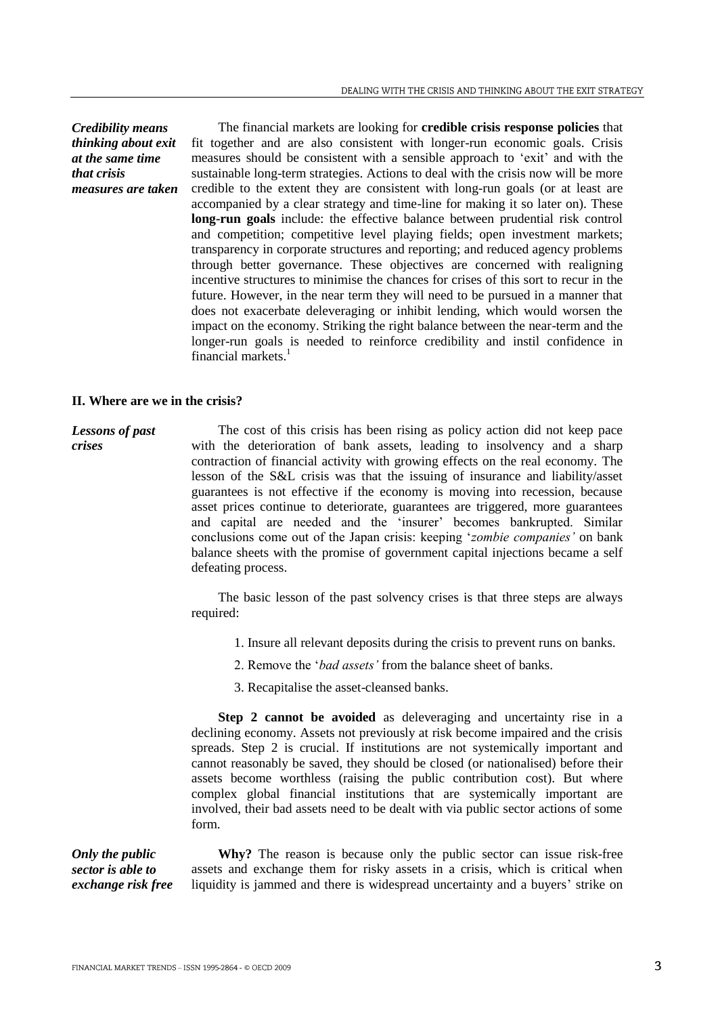*Credibility means thinking about exit at the same time that crisis measures are taken*

The financial markets are looking for **credible crisis response policies** that fit together and are also consistent with longer-run economic goals. Crisis measures should be consistent with a sensible approach to "exit" and with the sustainable long-term strategies. Actions to deal with the crisis now will be more credible to the extent they are consistent with long-run goals (or at least are accompanied by a clear strategy and time-line for making it so later on). These **long-run goals** include: the effective balance between prudential risk control and competition; competitive level playing fields; open investment markets; transparency in corporate structures and reporting; and reduced agency problems through better governance. These objectives are concerned with realigning incentive structures to minimise the chances for crises of this sort to recur in the future. However, in the near term they will need to be pursued in a manner that does not exacerbate deleveraging or inhibit lending, which would worsen the impact on the economy. Striking the right balance between the near-term and the longer-run goals is needed to reinforce credibility and instil confidence in financial markets. 1

#### **II. Where are we in the crisis?**

*Lessons of past crises* The cost of this crisis has been rising as policy action did not keep pace with the deterioration of bank assets, leading to insolvency and a sharp contraction of financial activity with growing effects on the real economy. The lesson of the S&L crisis was that the issuing of insurance and liability/asset guarantees is not effective if the economy is moving into recession, because asset prices continue to deteriorate, guarantees are triggered, more guarantees and capital are needed and the "insurer" becomes bankrupted. Similar conclusions come out of the Japan crisis: keeping "*zombie companies'* on bank balance sheets with the promise of government capital injections became a self defeating process.

> The basic lesson of the past solvency crises is that three steps are always required:

- 1. Insure all relevant deposits during the crisis to prevent runs on banks.
- 2. Remove the "*bad assets'* from the balance sheet of banks.
- 3. Recapitalise the asset-cleansed banks.

**Step 2 cannot be avoided** as deleveraging and uncertainty rise in a declining economy. Assets not previously at risk become impaired and the crisis spreads. Step 2 is crucial. If institutions are not systemically important and cannot reasonably be saved, they should be closed (or nationalised) before their assets become worthless (raising the public contribution cost). But where complex global financial institutions that are systemically important are involved, their bad assets need to be dealt with via public sector actions of some form.

*Only the public sector is able to exchange risk free* 

**Why?** The reason is because only the public sector can issue risk-free assets and exchange them for risky assets in a crisis, which is critical when liquidity is jammed and there is widespread uncertainty and a buyers' strike on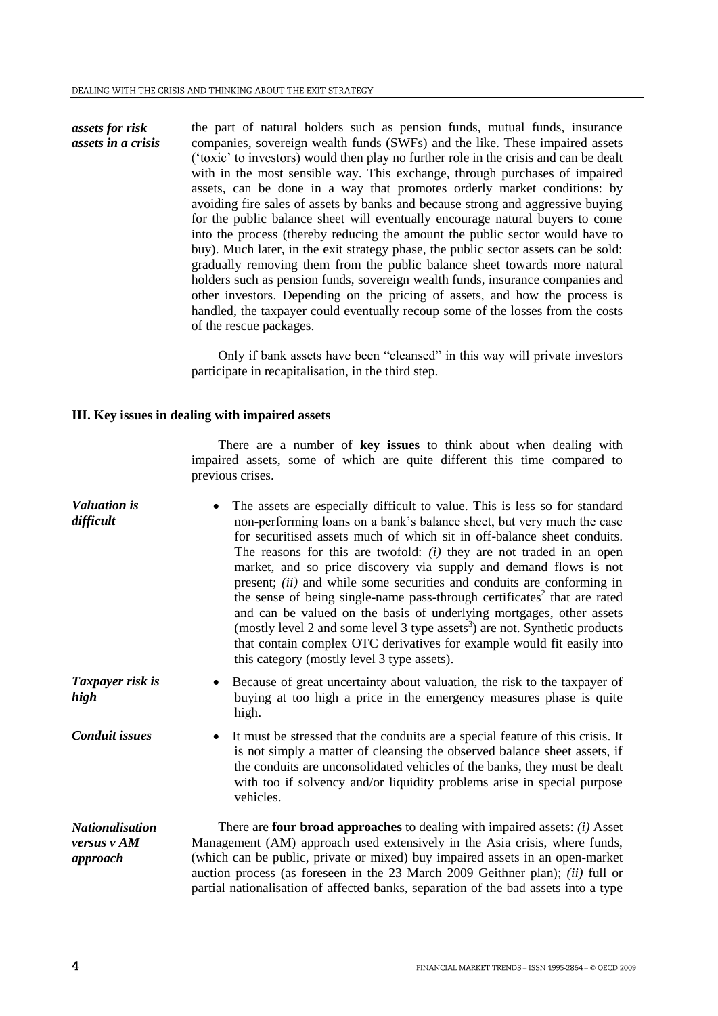*assets for risk assets in a crisis* the part of natural holders such as pension funds, mutual funds, insurance companies, sovereign wealth funds (SWFs) and the like. These impaired assets ("toxic" to investors) would then play no further role in the crisis and can be dealt with in the most sensible way. This exchange, through purchases of impaired assets, can be done in a way that promotes orderly market conditions: by avoiding fire sales of assets by banks and because strong and aggressive buying for the public balance sheet will eventually encourage natural buyers to come into the process (thereby reducing the amount the public sector would have to buy). Much later, in the exit strategy phase, the public sector assets can be sold: gradually removing them from the public balance sheet towards more natural holders such as pension funds, sovereign wealth funds, insurance companies and other investors. Depending on the pricing of assets, and how the process is handled, the taxpayer could eventually recoup some of the losses from the costs of the rescue packages.

> Only if bank assets have been "cleansed" in this way will private investors participate in recapitalisation, in the third step.

# **III. Key issues in dealing with impaired assets**

There are a number of **key issues** to think about when dealing with impaired assets, some of which are quite different this time compared to previous crises.

| <b>Valuation</b> is<br>difficult                  | The assets are especially difficult to value. This is less so for standard<br>non-performing loans on a bank's balance sheet, but very much the case<br>for securitised assets much of which sit in off-balance sheet conduits.<br>The reasons for this are twofold: $(i)$ they are not traded in an open<br>market, and so price discovery via supply and demand flows is not<br>present; <i>(ii)</i> and while some securities and conduits are conforming in<br>the sense of being single-name pass-through certificates <sup>2</sup> that are rated<br>and can be valued on the basis of underlying mortgages, other assets<br>(mostly level 2 and some level 3 type assets <sup>3</sup> ) are not. Synthetic products<br>that contain complex OTC derivatives for example would fit easily into<br>this category (mostly level 3 type assets). |
|---------------------------------------------------|-----------------------------------------------------------------------------------------------------------------------------------------------------------------------------------------------------------------------------------------------------------------------------------------------------------------------------------------------------------------------------------------------------------------------------------------------------------------------------------------------------------------------------------------------------------------------------------------------------------------------------------------------------------------------------------------------------------------------------------------------------------------------------------------------------------------------------------------------------|
| Taxpayer risk is<br>high                          | Because of great uncertainty about valuation, the risk to the taxpayer of<br>buying at too high a price in the emergency measures phase is quite<br>high.                                                                                                                                                                                                                                                                                                                                                                                                                                                                                                                                                                                                                                                                                           |
| <b>Conduit issues</b>                             | It must be stressed that the conduits are a special feature of this crisis. It<br>is not simply a matter of cleansing the observed balance sheet assets, if<br>the conduits are unconsolidated vehicles of the banks, they must be dealt<br>with too if solvency and/or liquidity problems arise in special purpose<br>vehicles.                                                                                                                                                                                                                                                                                                                                                                                                                                                                                                                    |
| <i>Nationalisation</i><br>versus v AM<br>approach | There are four broad approaches to dealing with impaired assets: $(i)$ Asset<br>Management (AM) approach used extensively in the Asia crisis, where funds,<br>(which can be public, private or mixed) buy impaired assets in an open-market<br>auction process (as foreseen in the 23 March 2009 Geithner plan); <i>(ii)</i> full or<br>partial nationalisation of affected banks, separation of the bad assets into a type                                                                                                                                                                                                                                                                                                                                                                                                                         |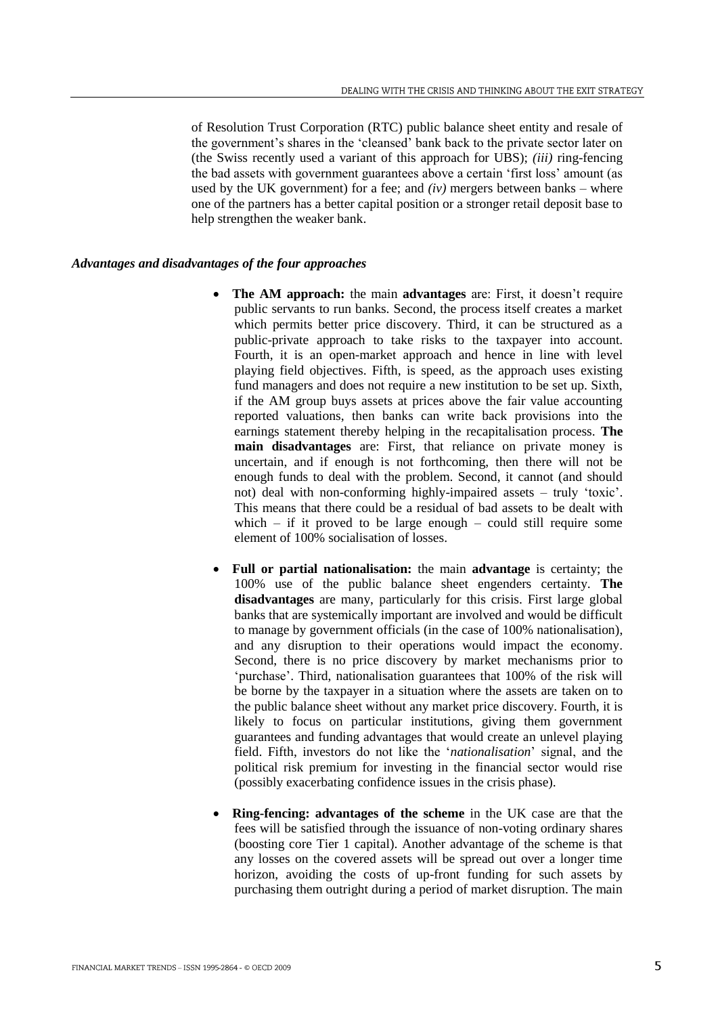of Resolution Trust Corporation (RTC) public balance sheet entity and resale of the government"s shares in the "cleansed" bank back to the private sector later on (the Swiss recently used a variant of this approach for UBS); *(iii)* ring-fencing the bad assets with government guarantees above a certain "first loss" amount (as used by the UK government) for a fee; and  $(iv)$  mergers between banks – where one of the partners has a better capital position or a stronger retail deposit base to help strengthen the weaker bank.

### *Advantages and disadvantages of the four approaches*

- The AM approach: the main **advantages** are: First, it doesn't require public servants to run banks. Second, the process itself creates a market which permits better price discovery. Third, it can be structured as a public-private approach to take risks to the taxpayer into account. Fourth, it is an open-market approach and hence in line with level playing field objectives. Fifth, is speed, as the approach uses existing fund managers and does not require a new institution to be set up. Sixth, if the AM group buys assets at prices above the fair value accounting reported valuations, then banks can write back provisions into the earnings statement thereby helping in the recapitalisation process. **The main disadvantages** are: First, that reliance on private money is uncertain, and if enough is not forthcoming, then there will not be enough funds to deal with the problem. Second, it cannot (and should not) deal with non-conforming highly-impaired assets – truly "toxic". This means that there could be a residual of bad assets to be dealt with which – if it proved to be large enough – could still require some element of 100% socialisation of losses.
- **Full or partial nationalisation:** the main **advantage** is certainty; the 100% use of the public balance sheet engenders certainty. **The disadvantages** are many, particularly for this crisis. First large global banks that are systemically important are involved and would be difficult to manage by government officials (in the case of 100% nationalisation), and any disruption to their operations would impact the economy. Second, there is no price discovery by market mechanisms prior to 'purchase'. Third, nationalisation guarantees that 100% of the risk will be borne by the taxpayer in a situation where the assets are taken on to the public balance sheet without any market price discovery. Fourth, it is likely to focus on particular institutions, giving them government guarantees and funding advantages that would create an unlevel playing field. Fifth, investors do not like the "*nationalisation*" signal, and the political risk premium for investing in the financial sector would rise (possibly exacerbating confidence issues in the crisis phase).
- **Ring-fencing: advantages of the scheme** in the UK case are that the fees will be satisfied through the issuance of non-voting ordinary shares (boosting core Tier 1 capital). Another advantage of the scheme is that any losses on the covered assets will be spread out over a longer time horizon, avoiding the costs of up-front funding for such assets by purchasing them outright during a period of market disruption. The main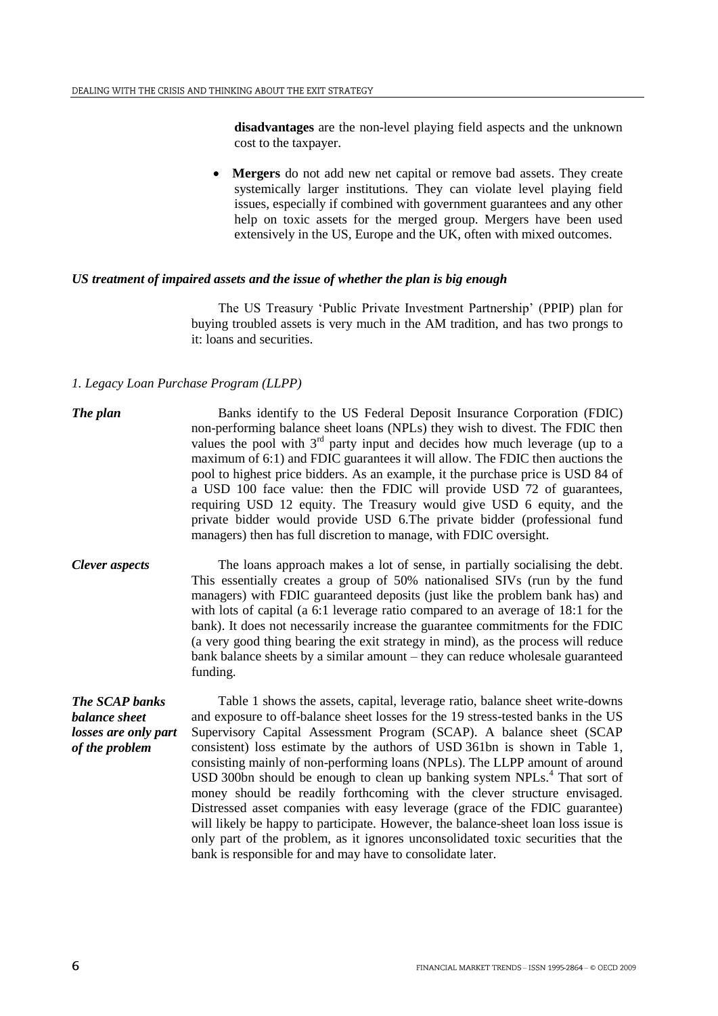**disadvantages** are the non-level playing field aspects and the unknown cost to the taxpayer.

 **Mergers** do not add new net capital or remove bad assets. They create systemically larger institutions. They can violate level playing field issues, especially if combined with government guarantees and any other help on toxic assets for the merged group. Mergers have been used extensively in the US, Europe and the UK, often with mixed outcomes.

### *US treatment of impaired assets and the issue of whether the plan is big enough*

The US Treasury "Public Private Investment Partnership" (PPIP) plan for buying troubled assets is very much in the AM tradition, and has two prongs to it: loans and securities.

# *1. Legacy Loan Purchase Program (LLPP)*

- **The plan** Banks identify to the US Federal Deposit Insurance Corporation (FDIC) non-performing balance sheet loans (NPLs) they wish to divest. The FDIC then values the pool with  $3<sup>rd</sup>$  party input and decides how much leverage (up to a maximum of 6:1) and FDIC guarantees it will allow. The FDIC then auctions the pool to highest price bidders. As an example, it the purchase price is USD 84 of a USD 100 face value: then the FDIC will provide USD 72 of guarantees, requiring USD 12 equity. The Treasury would give USD 6 equity, and the private bidder would provide USD 6.The private bidder (professional fund managers) then has full discretion to manage, with FDIC oversight.
- *Clever aspects* The loans approach makes a lot of sense, in partially socialising the debt. This essentially creates a group of 50% nationalised SIVs (run by the fund managers) with FDIC guaranteed deposits (just like the problem bank has) and with lots of capital (a 6:1 leverage ratio compared to an average of 18:1 for the bank). It does not necessarily increase the guarantee commitments for the FDIC (a very good thing bearing the exit strategy in mind), as the process will reduce bank balance sheets by a similar amount – they can reduce wholesale guaranteed funding.

*The SCAP banks balance sheet losses are only part of the problem*

Table 1 shows the assets, capital, leverage ratio, balance sheet write-downs and exposure to off-balance sheet losses for the 19 stress-tested banks in the US Supervisory Capital Assessment Program (SCAP). A balance sheet (SCAP consistent) loss estimate by the authors of USD 361bn is shown in Table 1, consisting mainly of non-performing loans (NPLs). The LLPP amount of around USD 300bn should be enough to clean up banking system NPLs.<sup>4</sup> That sort of money should be readily forthcoming with the clever structure envisaged. Distressed asset companies with easy leverage (grace of the FDIC guarantee) will likely be happy to participate. However, the balance-sheet loan loss issue is only part of the problem, as it ignores unconsolidated toxic securities that the bank is responsible for and may have to consolidate later.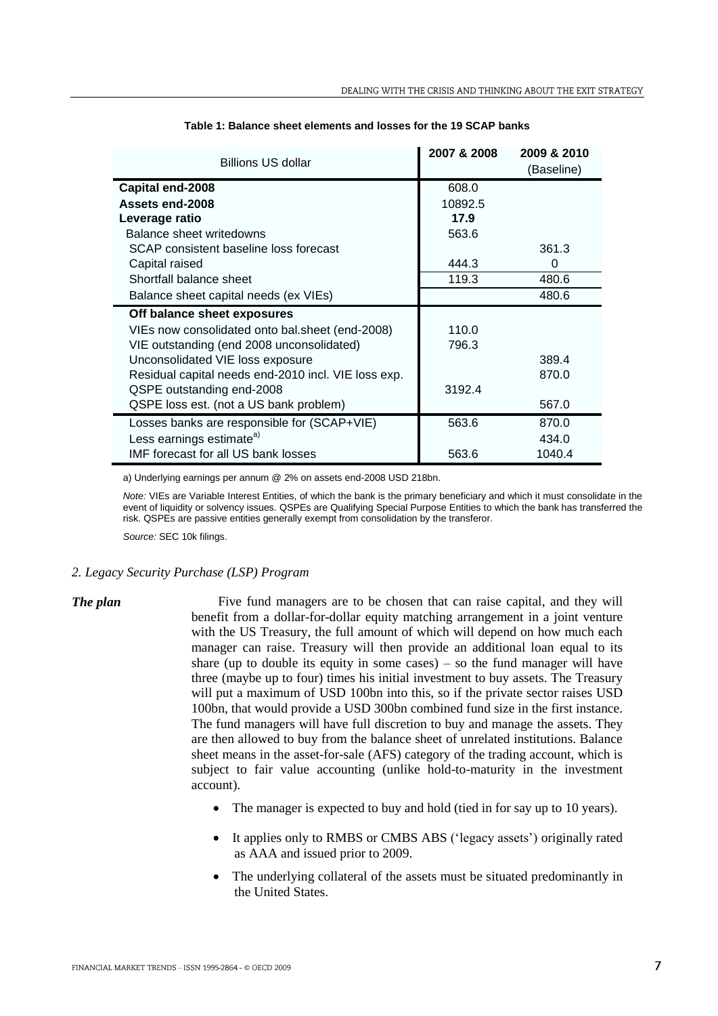| Billions US dollar                                  | 2007 & 2008 | 2009 & 2010<br>(Baseline) |
|-----------------------------------------------------|-------------|---------------------------|
| Capital end-2008                                    | 608.0       |                           |
| Assets end-2008                                     | 10892.5     |                           |
| Leverage ratio                                      | 17.9        |                           |
| Balance sheet writedowns                            | 563.6       |                           |
| SCAP consistent baseline loss forecast              |             | 361.3                     |
| Capital raised                                      | 444.3       | 0                         |
| Shortfall balance sheet                             | 119.3       | 480.6                     |
| Balance sheet capital needs (ex VIEs)               |             | 480.6                     |
| Off balance sheet exposures                         |             |                           |
| VIEs now consolidated onto bal. sheet (end-2008)    | 110.0       |                           |
| VIE outstanding (end 2008 unconsolidated)           | 796.3       |                           |
| Unconsolidated VIE loss exposure                    |             | 389.4                     |
| Residual capital needs end-2010 incl. VIE loss exp. |             | 870.0                     |
| QSPE outstanding end-2008                           | 3192.4      |                           |
| QSPE loss est. (not a US bank problem)              |             | 567.0                     |
| Losses banks are responsible for (SCAP+VIE)         | 563.6       | 870.0                     |
| Less earnings estimate <sup>a)</sup>                |             | 434.0                     |
| IMF forecast for all US bank losses                 | 563.6       | 1040.4                    |

#### **Table 1: Balance sheet elements and losses for the 19 SCAP banks**

a) Underlying earnings per annum @ 2% on assets end-2008 USD 218bn.

*Note:* VIEs are Variable Interest Entities, of which the bank is the primary beneficiary and which it must consolidate in the event of liquidity or solvency issues. QSPEs are Qualifying Special Purpose Entities to which the bank has transferred the risk. QSPEs are passive entities generally exempt from consolidation by the transferor.

*Source:* SEC 10k filings.

# *2. Legacy Security Purchase (LSP) Program*

*The plan* Five fund managers are to be chosen that can raise capital, and they will benefit from a dollar-for-dollar equity matching arrangement in a joint venture with the US Treasury, the full amount of which will depend on how much each manager can raise. Treasury will then provide an additional loan equal to its share (up to double its equity in some cases)  $-$  so the fund manager will have three (maybe up to four) times his initial investment to buy assets. The Treasury will put a maximum of USD 100bn into this, so if the private sector raises USD 100bn, that would provide a USD 300bn combined fund size in the first instance. The fund managers will have full discretion to buy and manage the assets. They are then allowed to buy from the balance sheet of unrelated institutions. Balance sheet means in the asset-for-sale (AFS) category of the trading account, which is subject to fair value accounting (unlike hold-to-maturity in the investment account).

- The manager is expected to buy and hold (tied in for say up to 10 years).
- It applies only to RMBS or CMBS ABS ('legacy assets') originally rated as AAA and issued prior to 2009.
- The underlying collateral of the assets must be situated predominantly in the United States.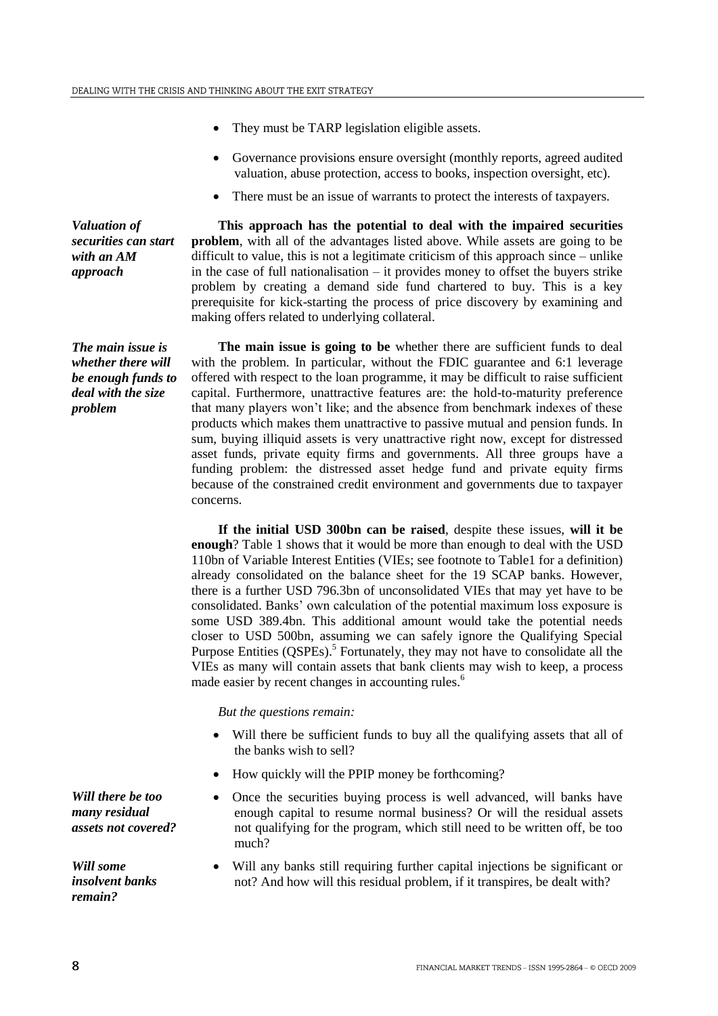- They must be TARP legislation eligible assets.
- Governance provisions ensure oversight (monthly reports, agreed audited valuation, abuse protection, access to books, inspection oversight, etc).
- There must be an issue of warrants to protect the interests of taxpayers.

*Valuation of securities can start with an AM approach*

*The main issue is whether there will be enough funds to deal with the size* 

*problem*

**This approach has the potential to deal with the impaired securities problem**, with all of the advantages listed above. While assets are going to be difficult to value, this is not a legitimate criticism of this approach since – unlike in the case of full nationalisation – it provides money to offset the buyers strike problem by creating a demand side fund chartered to buy. This is a key prerequisite for kick-starting the process of price discovery by examining and making offers related to underlying collateral.

**The main issue is going to be** whether there are sufficient funds to deal with the problem. In particular, without the FDIC guarantee and 6:1 leverage offered with respect to the loan programme, it may be difficult to raise sufficient capital. Furthermore, unattractive features are: the hold-to-maturity preference that many players won"t like; and the absence from benchmark indexes of these products which makes them unattractive to passive mutual and pension funds. In sum, buying illiquid assets is very unattractive right now, except for distressed asset funds, private equity firms and governments. All three groups have a funding problem: the distressed asset hedge fund and private equity firms because of the constrained credit environment and governments due to taxpayer concerns.

**If the initial USD 300bn can be raised**, despite these issues, **will it be enough**? Table 1 shows that it would be more than enough to deal with the USD 110bn of Variable Interest Entities (VIEs; see footnote to Table1 for a definition) already consolidated on the balance sheet for the 19 SCAP banks. However, there is a further USD 796.3bn of unconsolidated VIEs that may yet have to be consolidated. Banks" own calculation of the potential maximum loss exposure is some USD 389.4bn. This additional amount would take the potential needs closer to USD 500bn, assuming we can safely ignore the Qualifying Special Purpose Entities (QSPEs).<sup>5</sup> Fortunately, they may not have to consolidate all the VIEs as many will contain assets that bank clients may wish to keep, a process made easier by recent changes in accounting rules.<sup>6</sup>

*But the questions remain:* 

- Will there be sufficient funds to buy all the qualifying assets that all of the banks wish to sell?
- How quickly will the PPIP money be forthcoming?
- Once the securities buying process is well advanced, will banks have enough capital to resume normal business? Or will the residual assets not qualifying for the program, which still need to be written off, be too much?
- Will any banks still requiring further capital injections be significant or not? And how will this residual problem, if it transpires, be dealt with?

*Will there be too many residual assets not covered?*

*Will some insolvent banks remain?*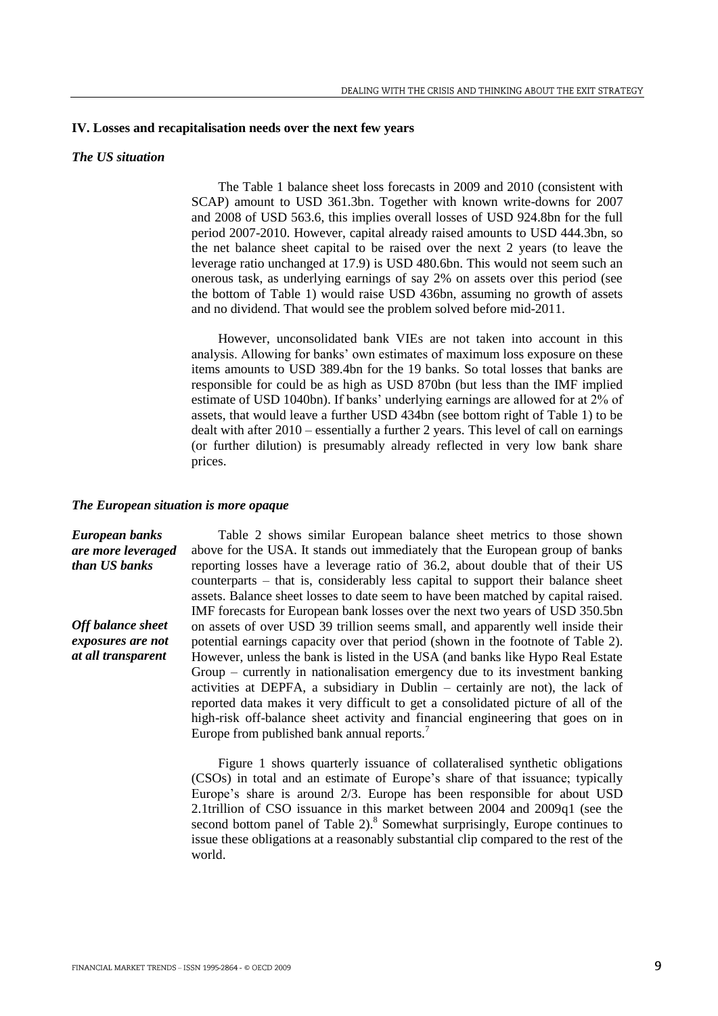#### **IV. Losses and recapitalisation needs over the next few years**

# *The US situation*

The Table 1 balance sheet loss forecasts in 2009 and 2010 (consistent with SCAP) amount to USD 361.3bn. Together with known write-downs for 2007 and 2008 of USD 563.6, this implies overall losses of USD 924.8bn for the full period 2007-2010. However, capital already raised amounts to USD 444.3bn, so the net balance sheet capital to be raised over the next 2 years (to leave the leverage ratio unchanged at 17.9) is USD 480.6bn. This would not seem such an onerous task, as underlying earnings of say 2% on assets over this period (see the bottom of Table 1) would raise USD 436bn, assuming no growth of assets and no dividend. That would see the problem solved before mid-2011.

However, unconsolidated bank VIEs are not taken into account in this analysis. Allowing for banks" own estimates of maximum loss exposure on these items amounts to USD 389.4bn for the 19 banks. So total losses that banks are responsible for could be as high as USD 870bn (but less than the IMF implied estimate of USD 1040bn). If banks' underlying earnings are allowed for at 2% of assets, that would leave a further USD 434bn (see bottom right of Table 1) to be dealt with after 2010 – essentially a further 2 years. This level of call on earnings (or further dilution) is presumably already reflected in very low bank share prices.

#### *The European situation is more opaque*

*European banks are more leveraged than US banks Off balance sheet exposures are not at all transparent* Table 2 shows similar European balance sheet metrics to those shown above for the USA. It stands out immediately that the European group of banks reporting losses have a leverage ratio of 36.2, about double that of their US counterparts – that is, considerably less capital to support their balance sheet assets. Balance sheet losses to date seem to have been matched by capital raised. IMF forecasts for European bank losses over the next two years of USD 350.5bn on assets of over USD 39 trillion seems small, and apparently well inside their potential earnings capacity over that period (shown in the footnote of Table 2). However, unless the bank is listed in the USA (and banks like Hypo Real Estate Group – currently in nationalisation emergency due to its investment banking activities at DEPFA, a subsidiary in Dublin – certainly are not), the lack of reported data makes it very difficult to get a consolidated picture of all of the high-risk off-balance sheet activity and financial engineering that goes on in Europe from published bank annual reports.<sup>7</sup>

> Figure 1 shows quarterly issuance of collateralised synthetic obligations (CSOs) in total and an estimate of Europe"s share of that issuance; typically Europe"s share is around 2/3. Europe has been responsible for about USD 2.1trillion of CSO issuance in this market between 2004 and 2009q1 (see the second bottom panel of Table  $2$ ).<sup>8</sup> Somewhat surprisingly, Europe continues to issue these obligations at a reasonably substantial clip compared to the rest of the world.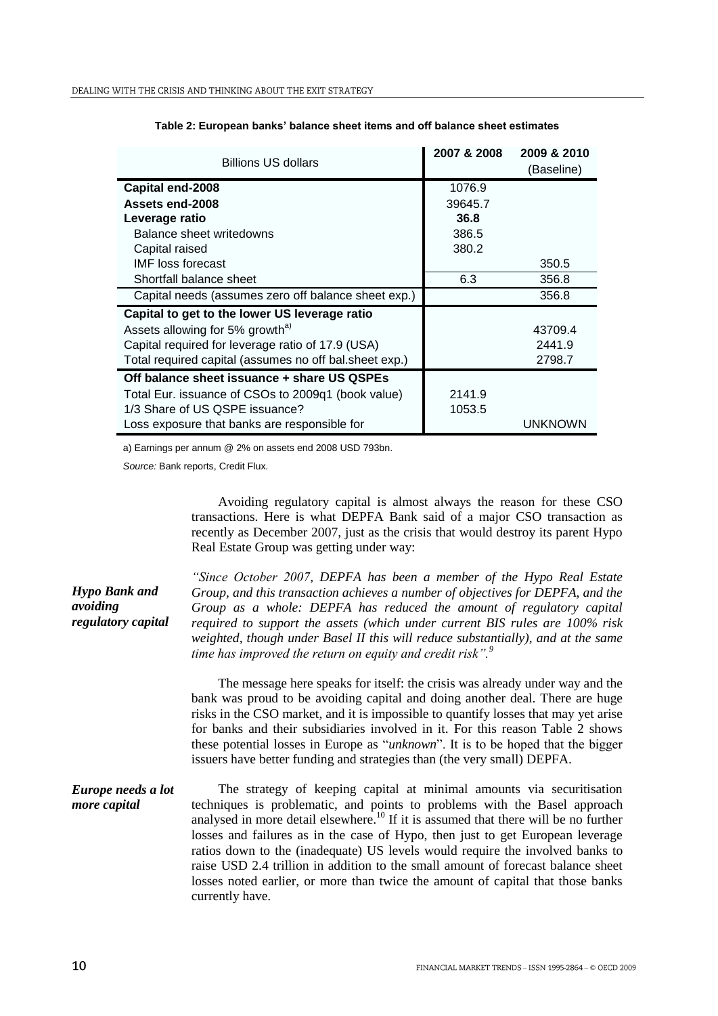| <b>Billions US dollars</b>                             | 2007 & 2008 | 2009 & 2010<br>(Baseline) |
|--------------------------------------------------------|-------------|---------------------------|
| Capital end-2008                                       | 1076.9      |                           |
| Assets end-2008                                        | 39645.7     |                           |
| Leverage ratio                                         | 36.8        |                           |
| Balance sheet writedowns                               | 386.5       |                           |
| Capital raised                                         | 380.2       |                           |
| <b>IMF</b> loss forecast                               |             | 350.5                     |
| Shortfall balance sheet                                | 6.3         | 356.8                     |
| Capital needs (assumes zero off balance sheet exp.)    |             | 356.8                     |
| Capital to get to the lower US leverage ratio          |             |                           |
| Assets allowing for 5% growth <sup>a)</sup>            |             | 43709.4                   |
| Capital required for leverage ratio of 17.9 (USA)      |             | 2441.9                    |
| Total required capital (assumes no off bal.sheet exp.) |             | 2798.7                    |
| Off balance sheet issuance + share US QSPEs            |             |                           |
| Total Eur. issuance of CSOs to 2009q1 (book value)     | 2141.9      |                           |
| 1/3 Share of US QSPE issuance?                         | 1053.5      |                           |
| Loss exposure that banks are responsible for           |             | <b>UNKNOWN</b>            |

#### **Table 2: European banks' balance sheet items and off balance sheet estimates**

a) Earnings per annum @ 2% on assets end 2008 USD 793bn.

*Source:* Bank reports, Credit Flux.

Avoiding regulatory capital is almost always the reason for these CSO transactions. Here is what DEPFA Bank said of a major CSO transaction as recently as December 2007, just as the crisis that would destroy its parent Hypo Real Estate Group was getting under way:

*Hypo Bank and avoiding regulatory capital "Since October 2007, DEPFA has been a member of the Hypo Real Estate Group, and this transaction achieves a number of objectives for DEPFA, and the Group as a whole: DEPFA has reduced the amount of regulatory capital required to support the assets (which under current BIS rules are 100% risk weighted, though under Basel II this will reduce substantially), and at the same time has improved the return on equity and credit risk".<sup>9</sup>* The message here speaks for itself: the crisis was already under way and the bank was proud to be avoiding capital and doing another deal. There are huge risks in the CSO market, and it is impossible to quantify losses that may yet arise for banks and their subsidiaries involved in it. For this reason Table 2 shows these potential losses in Europe as "*unknown*". It is to be hoped that the bigger issuers have better funding and strategies than (the very small) DEPFA. *Europe needs a lot more capital* The strategy of keeping capital at minimal amounts via securitisation techniques is problematic, and points to problems with the Basel approach analysed in more detail elsewhere.<sup>10</sup> If it is assumed that there will be no further losses and failures as in the case of Hypo, then just to get European leverage ratios down to the (inadequate) US levels would require the involved banks to raise USD 2.4 trillion in addition to the small amount of forecast balance sheet losses noted earlier, or more than twice the amount of capital that those banks currently have.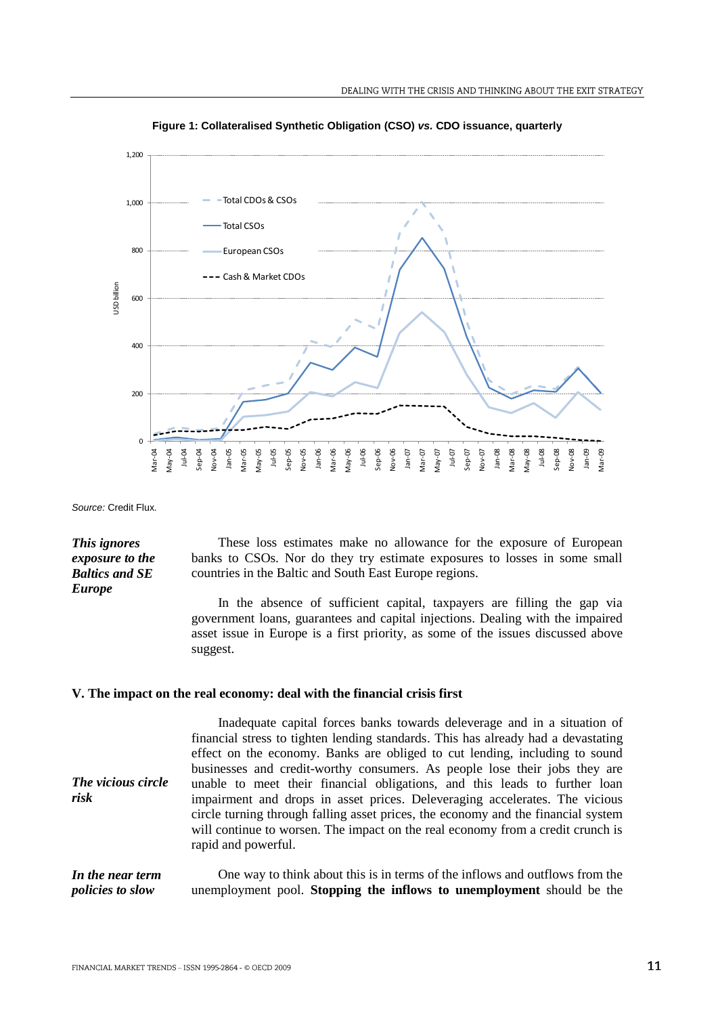

**Figure 1: Collateralised Synthetic Obligation (CSO)** *vs.* **CDO issuance, quarterly**

*Source:* Credit Flux.

*This ignores exposure to the Baltics and SE* 

*Europe*

These loss estimates make no allowance for the exposure of European banks to CSOs. Nor do they try estimate exposures to losses in some small countries in the Baltic and South East Europe regions.

In the absence of sufficient capital, taxpayers are filling the gap via government loans, guarantees and capital injections. Dealing with the impaired asset issue in Europe is a first priority, as some of the issues discussed above suggest.

# **V. The impact on the real economy: deal with the financial crisis first**

| The vicious circle<br>risk | Inadequate capital forces banks towards deleverage and in a situation of<br>financial stress to tighten lending standards. This has already had a devastating<br>effect on the economy. Banks are obliged to cut lending, including to sound<br>businesses and credit-worthy consumers. As people lose their jobs they are<br>unable to meet their financial obligations, and this leads to further loan<br>impairment and drops in asset prices. Deleveraging accelerates. The vicious<br>circle turning through falling asset prices, the economy and the financial system<br>will continue to worsen. The impact on the real economy from a credit crunch is<br>rapid and powerful. |
|----------------------------|----------------------------------------------------------------------------------------------------------------------------------------------------------------------------------------------------------------------------------------------------------------------------------------------------------------------------------------------------------------------------------------------------------------------------------------------------------------------------------------------------------------------------------------------------------------------------------------------------------------------------------------------------------------------------------------|
| In the near term           | One way to think about this is in terms of the inflows and outflows from the                                                                                                                                                                                                                                                                                                                                                                                                                                                                                                                                                                                                           |
| <i>policies to slow</i>    | unemployment pool. Stopping the inflows to unemployment should be the                                                                                                                                                                                                                                                                                                                                                                                                                                                                                                                                                                                                                  |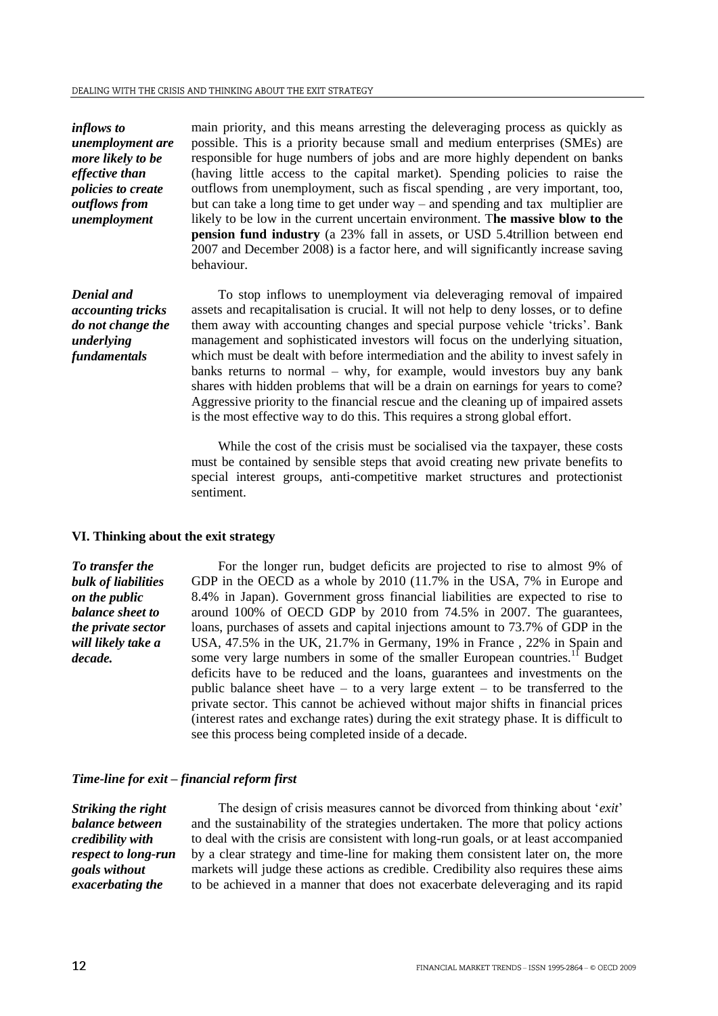*inflows to unemployment are more likely to be effective than policies to create outflows from unemployment*

main priority, and this means arresting the deleveraging process as quickly as possible. This is a priority because small and medium enterprises (SMEs) are responsible for huge numbers of jobs and are more highly dependent on banks (having little access to the capital market). Spending policies to raise the outflows from unemployment, such as fiscal spending , are very important, too, but can take a long time to get under way – and spending and tax multiplier are likely to be low in the current uncertain environment. T**he massive blow to the pension fund industry** (a 23% fall in assets, or USD 5.4trillion between end 2007 and December 2008) is a factor here, and will significantly increase saving behaviour.

*Denial and accounting tricks do not change the underlying fundamentals*

To stop inflows to unemployment via deleveraging removal of impaired assets and recapitalisation is crucial. It will not help to deny losses, or to define them away with accounting changes and special purpose vehicle "tricks". Bank management and sophisticated investors will focus on the underlying situation, which must be dealt with before intermediation and the ability to invest safely in banks returns to normal – why, for example, would investors buy any bank shares with hidden problems that will be a drain on earnings for years to come? Aggressive priority to the financial rescue and the cleaning up of impaired assets is the most effective way to do this. This requires a strong global effort.

While the cost of the crisis must be socialised via the taxpayer, these costs must be contained by sensible steps that avoid creating new private benefits to special interest groups, anti-competitive market structures and protectionist sentiment.

### **VI. Thinking about the exit strategy**

*To transfer the bulk of liabilities on the public balance sheet to the private sector will likely take a decade.*

For the longer run, budget deficits are projected to rise to almost 9% of GDP in the OECD as a whole by 2010 (11.7% in the USA, 7% in Europe and 8.4% in Japan). Government gross financial liabilities are expected to rise to around 100% of OECD GDP by 2010 from 74.5% in 2007. The guarantees, loans, purchases of assets and capital injections amount to 73.7% of GDP in the USA, 47.5% in the UK, 21.7% in Germany, 19% in France , 22% in Spain and some very large numbers in some of the smaller European countries.<sup>11</sup> Budget deficits have to be reduced and the loans, guarantees and investments on the public balance sheet have  $-$  to a very large extent  $-$  to be transferred to the private sector. This cannot be achieved without major shifts in financial prices (interest rates and exchange rates) during the exit strategy phase. It is difficult to see this process being completed inside of a decade.

### *Time-line for exit – financial reform first*

*Striking the right balance between credibility with respect to long-run goals without exacerbating the* 

The design of crisis measures cannot be divorced from thinking about "*exit*" and the sustainability of the strategies undertaken. The more that policy actions to deal with the crisis are consistent with long-run goals, or at least accompanied by a clear strategy and time-line for making them consistent later on, the more markets will judge these actions as credible. Credibility also requires these aims to be achieved in a manner that does not exacerbate deleveraging and its rapid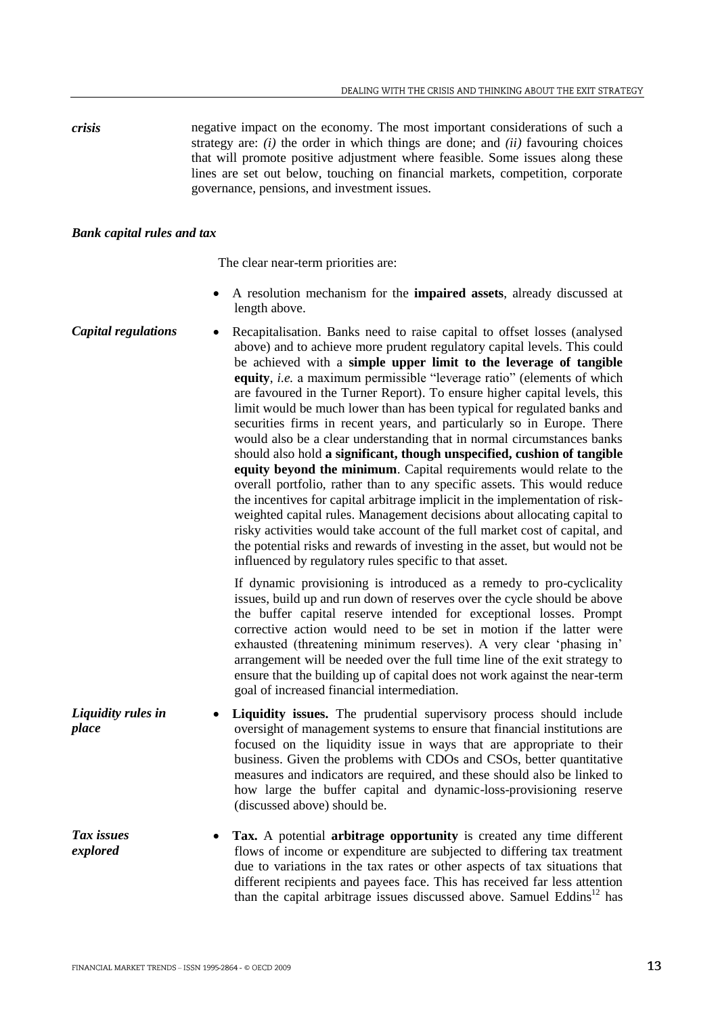*crisis* negative impact on the economy. The most important considerations of such a strategy are: *(i)* the order in which things are done; and *(ii)* favouring choices that will promote positive adjustment where feasible. Some issues along these lines are set out below, touching on financial markets, competition, corporate governance, pensions, and investment issues.

# *Bank capital rules and tax*

The clear near-term priorities are:

- A resolution mechanism for the **impaired assets**, already discussed at length above.
- **Capital regulations** Recapitalisation. Banks need to raise capital to offset losses (analysed above) and to achieve more prudent regulatory capital levels. This could be achieved with a **simple upper limit to the leverage of tangible equity**, *i.e.* a maximum permissible "leverage ratio" (elements of which are favoured in the Turner Report). To ensure higher capital levels, this limit would be much lower than has been typical for regulated banks and securities firms in recent years, and particularly so in Europe. There would also be a clear understanding that in normal circumstances banks should also hold **a significant, though unspecified, cushion of tangible equity beyond the minimum**. Capital requirements would relate to the overall portfolio, rather than to any specific assets. This would reduce the incentives for capital arbitrage implicit in the implementation of riskweighted capital rules. Management decisions about allocating capital to risky activities would take account of the full market cost of capital, and the potential risks and rewards of investing in the asset, but would not be influenced by regulatory rules specific to that asset.

If dynamic provisioning is introduced as a remedy to pro-cyclicality issues, build up and run down of reserves over the cycle should be above the buffer capital reserve intended for exceptional losses. Prompt corrective action would need to be set in motion if the latter were exhausted (threatening minimum reserves). A very clear "phasing in" arrangement will be needed over the full time line of the exit strategy to ensure that the building up of capital does not work against the near-term goal of increased financial intermediation.

- *Liquidity rules in place* **Liquidity issues.** The prudential supervisory process should include oversight of management systems to ensure that financial institutions are focused on the liquidity issue in ways that are appropriate to their business. Given the problems with CDOs and CSOs, better quantitative measures and indicators are required, and these should also be linked to how large the buffer capital and dynamic-loss-provisioning reserve (discussed above) should be.
- *Tax issues explored* **Tax.** A potential **arbitrage opportunity** is created any time different flows of income or expenditure are subjected to differing tax treatment due to variations in the tax rates or other aspects of tax situations that different recipients and payees face. This has received far less attention than the capital arbitrage issues discussed above. Samuel Eddins $12$  has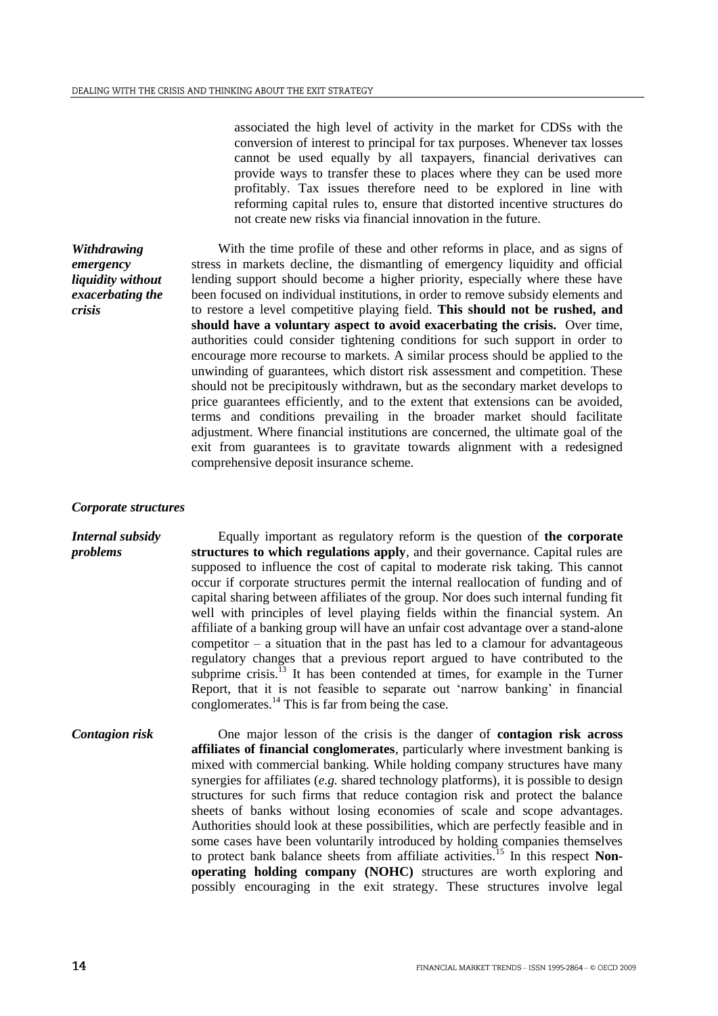associated the high level of activity in the market for CDSs with the conversion of interest to principal for tax purposes. Whenever tax losses cannot be used equally by all taxpayers, financial derivatives can provide ways to transfer these to places where they can be used more profitably. Tax issues therefore need to be explored in line with reforming capital rules to, ensure that distorted incentive structures do not create new risks via financial innovation in the future.

With the time profile of these and other reforms in place, and as signs of stress in markets decline, the dismantling of emergency liquidity and official lending support should become a higher priority, especially where these have been focused on individual institutions, in order to remove subsidy elements and to restore a level competitive playing field. **This should not be rushed, and should have a voluntary aspect to avoid exacerbating the crisis.** Over time, authorities could consider tightening conditions for such support in order to encourage more recourse to markets. A similar process should be applied to the unwinding of guarantees, which distort risk assessment and competition. These should not be precipitously withdrawn, but as the secondary market develops to price guarantees efficiently, and to the extent that extensions can be avoided, terms and conditions prevailing in the broader market should facilitate adjustment. Where financial institutions are concerned, the ultimate goal of the exit from guarantees is to gravitate towards alignment with a redesigned comprehensive deposit insurance scheme.

#### *Corporate structures*

*Withdrawing emergency liquidity without exacerbating the* 

*crisis*

*Internal subsidy problems* Equally important as regulatory reform is the question of **the corporate structures to which regulations apply**, and their governance. Capital rules are supposed to influence the cost of capital to moderate risk taking. This cannot occur if corporate structures permit the internal reallocation of funding and of capital sharing between affiliates of the group. Nor does such internal funding fit well with principles of level playing fields within the financial system. An affiliate of a banking group will have an unfair cost advantage over a stand-alone  $\mathbf{c}$  competitor – a situation that in the past has led to a clamour for advantageous regulatory changes that a previous report argued to have contributed to the subprime crisis.<sup> $13$ </sup> It has been contended at times, for example in the Turner Report, that it is not feasible to separate out "narrow banking" in financial conglomerates.<sup>14</sup> This is far from being the case.

*Contagion risk* One major lesson of the crisis is the danger of **contagion risk across affiliates of financial conglomerates**, particularly where investment banking is mixed with commercial banking. While holding company structures have many synergies for affiliates (*e.g.* shared technology platforms), it is possible to design structures for such firms that reduce contagion risk and protect the balance sheets of banks without losing economies of scale and scope advantages. Authorities should look at these possibilities, which are perfectly feasible and in some cases have been voluntarily introduced by holding companies themselves to protect bank balance sheets from affiliate activities.<sup>15</sup> In this respect **Nonoperating holding company (NOHC)** structures are worth exploring and possibly encouraging in the exit strategy. These structures involve legal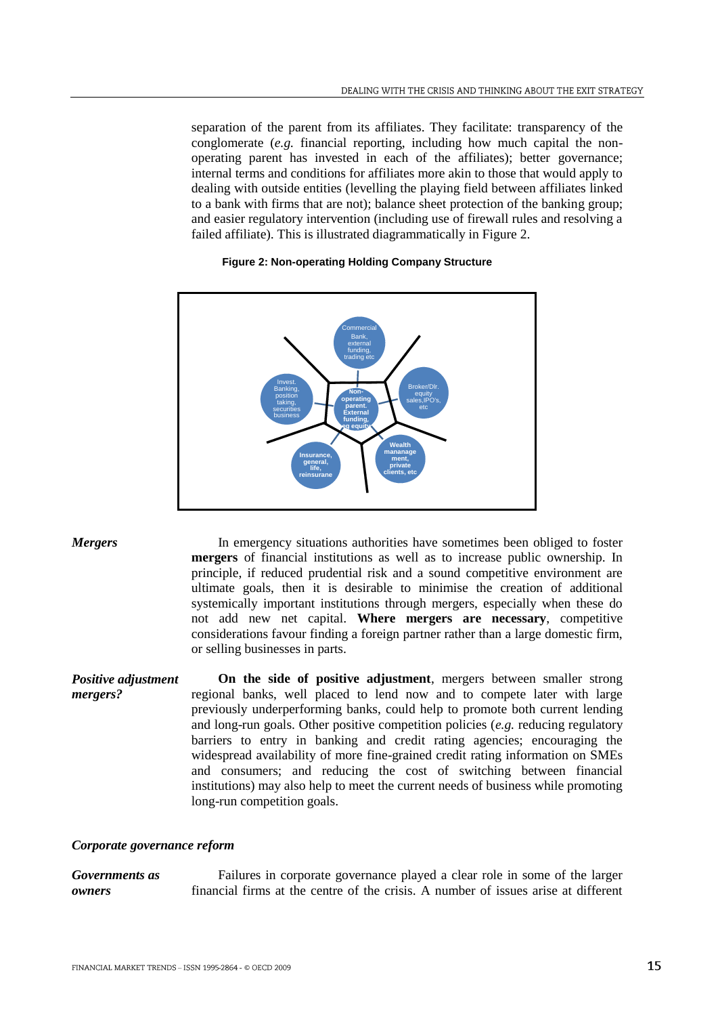separation of the parent from its affiliates. They facilitate: transparency of the conglomerate (*e.g.* financial reporting, including how much capital the nonoperating parent has invested in each of the affiliates); better governance; internal terms and conditions for affiliates more akin to those that would apply to dealing with outside entities (levelling the playing field between affiliates linked to a bank with firms that are not); balance sheet protection of the banking group; and easier regulatory intervention (including use of firewall rules and resolving a failed affiliate). This is illustrated diagrammatically in Figure 2.



# **Figure 2: Non-operating Holding Company Structure**

*Mergers* In emergency situations authorities have sometimes been obliged to foster **mergers** of financial institutions as well as to increase public ownership. In principle, if reduced prudential risk and a sound competitive environment are ultimate goals, then it is desirable to minimise the creation of additional systemically important institutions through mergers, especially when these do not add new net capital. **Where mergers are necessary**, competitive considerations favour finding a foreign partner rather than a large domestic firm, or selling businesses in parts.

*Positive adjustment mergers?* **On the side of positive adjustment**, mergers between smaller strong regional banks, well placed to lend now and to compete later with large previously underperforming banks, could help to promote both current lending and long-run goals. Other positive competition policies (*e.g.* reducing regulatory barriers to entry in banking and credit rating agencies; encouraging the widespread availability of more fine-grained credit rating information on SMEs and consumers; and reducing the cost of switching between financial institutions) may also help to meet the current needs of business while promoting long-run competition goals.

# *Corporate governance reform*

*Governments as owners* Failures in corporate governance played a clear role in some of the larger financial firms at the centre of the crisis. A number of issues arise at different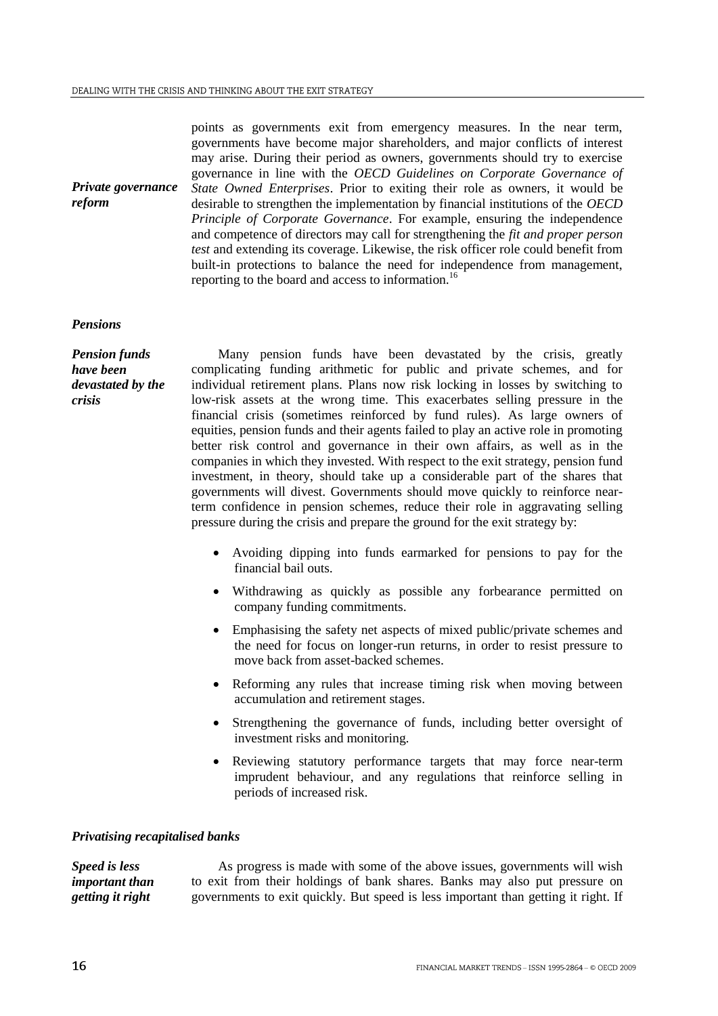points as governments exit from emergency measures. In the near term, governments have become major shareholders, and major conflicts of interest may arise. During their period as owners, governments should try to exercise governance in line with the *OECD Guidelines on Corporate Governance of State Owned Enterprises*. Prior to exiting their role as owners, it would be desirable to strengthen the implementation by financial institutions of the *OECD Principle of Corporate Governance*. For example, ensuring the independence and competence of directors may call for strengthening the *fit and proper person test* and extending its coverage. Likewise, the risk officer role could benefit from built-in protections to balance the need for independence from management, reporting to the board and access to information.<sup>16</sup>

### *Pensions*

*reform*

*Pension funds have been devastated by the crisis*

*Private governance* 

Many pension funds have been devastated by the crisis, greatly complicating funding arithmetic for public and private schemes, and for individual retirement plans. Plans now risk locking in losses by switching to low-risk assets at the wrong time. This exacerbates selling pressure in the financial crisis (sometimes reinforced by fund rules). As large owners of equities, pension funds and their agents failed to play an active role in promoting better risk control and governance in their own affairs, as well as in the companies in which they invested. With respect to the exit strategy, pension fund investment, in theory, should take up a considerable part of the shares that governments will divest. Governments should move quickly to reinforce nearterm confidence in pension schemes, reduce their role in aggravating selling pressure during the crisis and prepare the ground for the exit strategy by:

- Avoiding dipping into funds earmarked for pensions to pay for the financial bail outs.
- Withdrawing as quickly as possible any forbearance permitted on company funding commitments.
- Emphasising the safety net aspects of mixed public/private schemes and the need for focus on longer-run returns, in order to resist pressure to move back from asset-backed schemes.
- Reforming any rules that increase timing risk when moving between accumulation and retirement stages.
- Strengthening the governance of funds, including better oversight of investment risks and monitoring.
- Reviewing statutory performance targets that may force near-term imprudent behaviour, and any regulations that reinforce selling in periods of increased risk.

#### *Privatising recapitalised banks*

*Speed is less important than getting it right* As progress is made with some of the above issues, governments will wish to exit from their holdings of bank shares. Banks may also put pressure on governments to exit quickly. But speed is less important than getting it right. If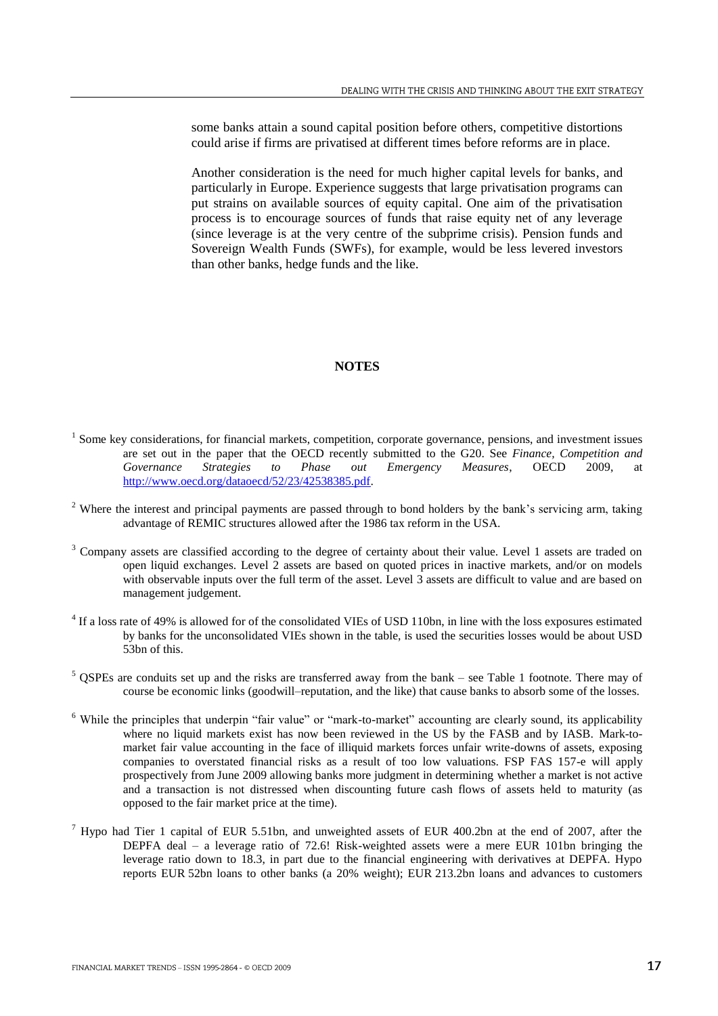some banks attain a sound capital position before others, competitive distortions could arise if firms are privatised at different times before reforms are in place.

Another consideration is the need for much higher capital levels for banks, and particularly in Europe. Experience suggests that large privatisation programs can put strains on available sources of equity capital. One aim of the privatisation process is to encourage sources of funds that raise equity net of any leverage (since leverage is at the very centre of the subprime crisis). Pension funds and Sovereign Wealth Funds (SWFs), for example, would be less levered investors than other banks, hedge funds and the like.

# **NOTES**

- <sup>1</sup> Some key considerations, for financial markets, competition, corporate governance, pensions, and investment issues are set out in the paper that the OECD recently submitted to the G20. See *Finance, Competition and Governance Strategies to Phase out Emergency Measures*, OECD 2009, at [http://www.oecd.org/dataoecd/52/23/42538385.pdf.](http://www.oecd.org/dataoecd/52/23/42538385.pdf)
- $2$  Where the interest and principal payments are passed through to bond holders by the bank's servicing arm, taking advantage of REMIC structures allowed after the 1986 tax reform in the USA.
- <sup>3</sup> Company assets are classified according to the degree of certainty about their value. Level 1 assets are traded on open liquid exchanges. Level 2 assets are based on quoted prices in inactive markets, and/or on models with observable inputs over the full term of the asset. Level 3 assets are difficult to value and are based on management judgement.
- <sup>4</sup> If a loss rate of 49% is allowed for of the consolidated VIEs of USD 110bn, in line with the loss exposures estimated by banks for the unconsolidated VIEs shown in the table, is used the securities losses would be about USD 53bn of this.
- $5$  QSPEs are conduits set up and the risks are transferred away from the bank see Table 1 footnote. There may of course be economic links (goodwill–reputation, and the like) that cause banks to absorb some of the losses.
- <sup>6</sup> While the principles that underpin "fair value" or "mark-to-market" accounting are clearly sound, its applicability where no liquid markets exist has now been reviewed in the US by the FASB and by IASB. Mark-tomarket fair value accounting in the face of illiquid markets forces unfair write-downs of assets, exposing companies to overstated financial risks as a result of too low valuations. FSP FAS 157-e will apply prospectively from June 2009 allowing banks more judgment in determining whether a market is not active and a transaction is not distressed when discounting future cash flows of assets held to maturity (as opposed to the fair market price at the time).
- <sup>7</sup> Hypo had Tier 1 capital of EUR 5.51bn, and unweighted assets of EUR 400.2bn at the end of 2007, after the DEPFA deal – a leverage ratio of 72.6! Risk-weighted assets were a mere EUR 101bn bringing the leverage ratio down to 18.3, in part due to the financial engineering with derivatives at DEPFA. Hypo reports EUR 52bn loans to other banks (a 20% weight); EUR 213.2bn loans and advances to customers